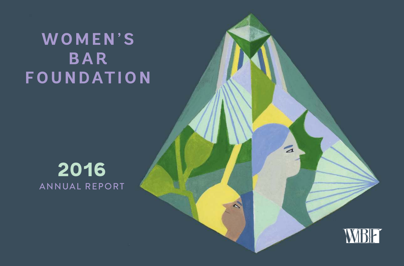### **WOMEN'S BAR FOUNDATION**

### **2016** ANNUAL REPORT



 $\mathbf{z}$ 

 $\mathcal{L}$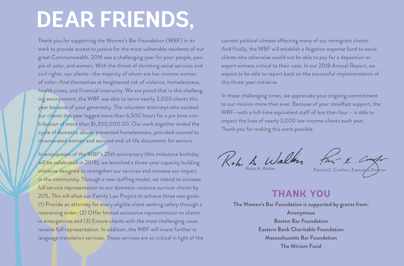## **DEAR FRIENDS,**

Thank you for supporting the Women's Bar Foundation (WBF) in its work to provide access to justice for the most vulnerable residents of our great Commonwealth. 2016 was a challenging year for poor people, people of color, and women. With the threat of shrinking social services and civil rights, our clients—the majority of whom are low-income women of color—find themselves at heightened risk of violence, homelessness, health crises, and financial insecurity. We are proud that in this challenging environment, the WBF was able to serve nearly 2,000 clients this year because of your generosity. The volunteer attorneys who assisted our clients this year logged more than 6,500 hours for a *pro bono* contribution of more than \$1,300,000.00. Our work together ended the cycle of domestic abuse, prevented homelessness, provided counsel to incarcerated women and secured end-of-life documents for seniors.

In anticipation of the WBF's 25th anniversary (this milestone birthday will be celebrated in 2018), we launched a three-year capacity building initiative designed to strengthen our services and increase our impact in the community. Through a new staffing model, we intend to increase full service representation to our domestic violence survivor clients by 20%. This will allow our Family Law Project to achieve three new goals: (1) Provide an attorney for every eligible client seeking safety through a restraining order; (2) Offer limited assistance representation to clients in emergencies and (3) Ensure clients with the most challenging cases receive full representation. In addition, the WBF will invest further in language translation services. These services are so critical in light of the current political climate affecting many of our immigrant clients. And finally, the WBF will establish a litigation expense fund to assist clients who otherwise would not be able to pay for a deposition or expert witness critical to their case. In our 2018 Annual Report, we expect to be able to report back on the successful implementation of this three-year initiative.

In these challenging times, we appreciate your ongoing commitment to our mission more than ever. Because of your steadfast support, the WBF—with a full-time equivalent staff of less than four – is able to impact the lives of nearly 2,000 low-income clients each year. Thank you for making this work possible.

Robin A. Walker Patricia E. Comfort, Executive Director

#### **THANK YOU**

**The Women's Bar Foundation is supported by grants from: Anonymous Boston Bar Foundation Eastern Bank Charitable Foundation Massachusetts Bar Foundation The Miriam Fund**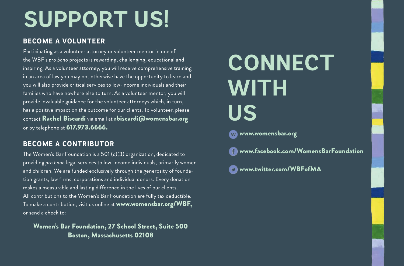# **SUPPORT US!**

#### **BECOME A VOLUNTEER**

Participating as a volunteer attorney or volunteer mentor in one of the WBF's *pro bono* projects is rewarding, challenging, educational and inspiring. As a volunteer attorney, you will receive comprehensive training in an area of law you may not otherwise have the opportunity to learn and you will also provide critical services to low-income individuals and their families who have nowhere else to turn. As a volunteer mentor, you will provide invaluable guidance for the volunteer attorneys which, in turn, has a positive impact on the outcome for our clients. To volunteer, please contact Rachel Biscardi via email at rbiscardi@womensbar.org or by telephone at 617.973.6666.

#### **BECOME A CONTRIBUTOR**

The Women's Bar Foundation is a 501 (c)(3) organization, dedicated to providing *pro bono* legal services to low-income individuals, primarily women and children. We are funded exclusively through the generosity of foundation grants, law firms, corporations and individual donors. Every donation makes a measurable and lasting difference in the lives of our clients. All contributions to the Women's Bar Foundation are fully tax deductible. To make a contribution, visit us online at www.womensbar.org/WBF, or send a check to:

#### Women's Bar Foundation, 27 School Street, Suite 500 Boston, Massachusetts 02108

# **CONNECT WITH US**





www.twitter.com/WBFofMA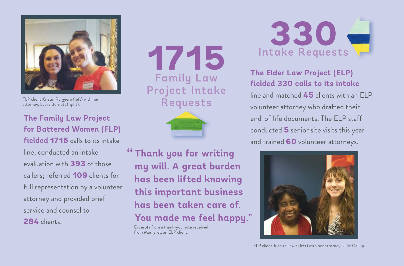

FLP client Kristin Ruggiero (left) with her attorney, Laura Burnett (right).

**The Family Law Project for Battered Women (FLP) fielded 1715** calls to its intake line; conducted an intake evaluation with **393** of those callers; referred **109** clients for full representation by a volunteer attorney and provided brief service and counsel to **284** clients.

**1715** Family Law Project Intake Requests



**" Thank you for writing my will. A great burden has been lifted knowing this important business has been taken care of. You made me feel happy."**

Excerpts from a thank-you note received from Margaret, an ELP client.



**The Elder Law Project (ELP) fielded 330 calls to its intake**  line and matched **45** clients with an ELP volunteer attorney who drafted their end-of-life documents. The ELP staff conducted **5** senior site visits this year and trained **60** volunteer attorneys.



ELP client Juanita Lewis (left) with her attorney, Julie Gallup.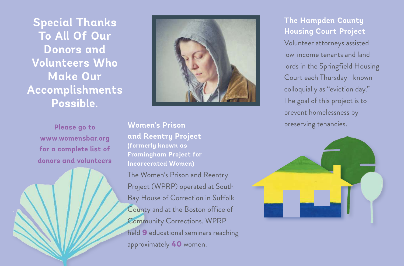**Special Thanks To All Of Our Donors and Volunteers Who Make Our Accomplishments Possible.** 

> **Please go to www.womensbar.org for a complete list of donors and volunteers**



**Women's Prison and Reentry Project (formerly known as Framingham Project for Incarcerated Women)** The Women's Prison and Reentry Project (WPRP) operated at South Bay House of Correction in Suffolk County and at the Boston office of Community Corrections. WPRP held **9** educational seminars reaching approximately **40** women.

**The Hampden County Housing Court Project**  Volunteer attorneys assisted low-income tenants and landlords in the Springfield Housing Court each Thursday—known colloquially as "eviction day." The goal of this project is to prevent homelessness by preserving tenancies.

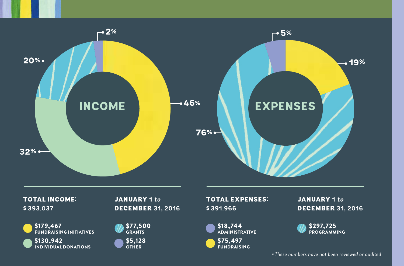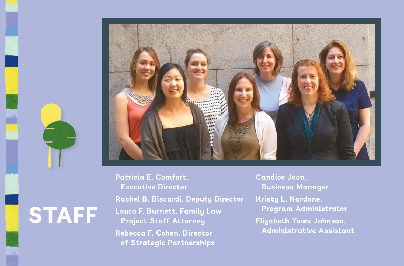

**STAFF**

**Patricia E. Comfort, Executive Director Rachel B. Biscardi, Deputy Director Laura F. Burnett, Family Law Project Staff Attorney Rebecca F. Cohen, Director of Strategic Partnerships**

**Candice Jeon, Business Manager Kristy L. Nardone, Program Administrator Elizabeth Yows-Johnson, Administrative Assistant**